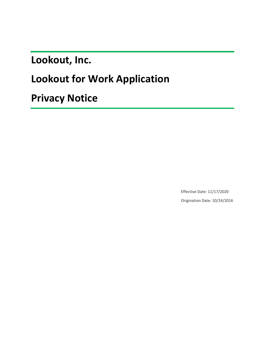**Lookout, Inc.**

# **Lookout for Work Application**

**Privacy Notice**

Effective Date: 11/17/2020 Origination Date: 10/24/2016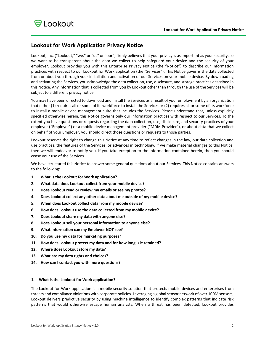# **Lookout for Work Application Privacy Notice**

Lookout, Inc. ("Lookout," "we," or "us" or "our") firmly believes that your privacy is as important as your security, so we want to be transparent about the data we collect to help safeguard your device and the security of your employer. Lookout provides you with this Enterprise Privacy Notice (the "Notice") to describe our information practices with respect to our Lookout for Work application (the "Services"). This Notice governs the data collected from or about you through your installation and activation of our Services on your mobile device. By downloading and activating the Services, you acknowledge the data collection, use, disclosure, and storage practices described in this Notice. Any information that is collected from you by Lookout other than through the use of the Services will be subject to a different privacy notice.

You may have been directed to download and install the Services as a result of your employment by an organization that either (1) requires all or some of its workforce to install the Services or (2) requires all or some of its workforce to install a mobile device management suite that includes the Services. Please understand that, unless explicitly specified otherwise herein, this Notice governs only our information practices with respect to our Services. To the extent you have questions or requests regarding the data collection, use, disclosure, and security practices of your employer ("Employer") or a mobile device management provider ("MDM Provider"), or about data that we collect on behalf of your Employer, you should direct those questions or requests to those parties.

Lookout reserves the right to change this Notice at any time to reflect changes in the law, our data collection and use practices, the features of the Services, or advances in technology. If we make material changes to this Notice, then we will endeavor to notify you. If you take exception to the information contained herein, then you should cease your use of the Services.

We have structured this Notice to answer some general questions about our Services. This Notice contains answers to the following:

- **1. What is the Lookout for Work application?**
- **2. What data does Lookout collect from your mobile device?**
- **3. Does Lookout read or review my emails or see my photos?**
- **4. Does Lookout collect any other data about me outside of my mobile device?**
- **5. When does Lookout collect data from my mobile device?**
- **6. How does Lookout use the data collected from my mobile device?**
- **7. Does Lookout share my data with anyone else?**
- **8. Does Lookout sell your personal information to anyone else?**
- **9. What information can my Employer NOT see?**
- **10. Do you use my data for marketing purposes?**
- **11. How does Lookout protect my data and for how long is it retained?**
- **12. Where does Lookout store my data?**
- **13. What are my data rights and choices?**
- **14. How can I contact you with more questions?**

#### **1. What is the Lookout for Work application?**

The Lookout for Work application is a mobile security solution that protects mobile devices and enterprises from threats and compliance violations with corporate policies. Leveraging a global sensor network of over 100M sensors, Lookout delivers predictive security by using machine intelligence to identify complex patterns that indicate risk patterns that would otherwise escape human analysts. When a threat has been detected, Lookout provides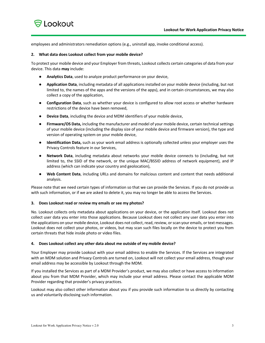

employees and administrators remediation options (e.g., uninstall app, invoke conditional access).

#### **2. What data does Lookout collect from your mobile device?**

To protect your mobile device and your Employer from threats, Lookout collects certain categories of data from your device. This data **may** include:

- **Analytics Data**, used to analyze product performance on your device,
- **Application Data**, including metadata of all applications installed on your mobile device (including, but not limited to, the names of the apps and the versions of the apps), and in certain circumstances, we may also collect a copy of the application,
- **Configuration Data**, such as whether your device is configured to allow root access or whether hardware restrictions of the device have been removed,
- **Device Data**, including the device and MDM identifiers of your mobile device,
- **Firmware/OS Data,** including the manufacturer and model of your mobile device, certain technical settings of your mobile device (including the display size of your mobile device and firmware version), the type and version of operating system on your mobile device,
- **Identification Data,** such as your work email address is optionally collected unless your employer uses the Privacy Controls feature in our Services,
- **Network Data**, including metadata about networks your mobile device connects to (including, but not limited to, the SSID of the network, or the unique MAC/BSSID address of network equipment), and IP address (which can indicate your country and geolocation),
- **Web Content Data**, including URLs and domains for malicious content and content that needs additional analysis.

Please note that we need certain types of information so that we can provide the Services. If you do not provide us with such information, or if we are asked to delete it, you may no longer be able to access the Services.

#### **3. Does Lookout read or review my emails or see my photos?**

No. Lookout collects only metadata about applications on your device, or the application itself. Lookout does not collect user data you enter into those applications. Because Lookout does not collect any user data you enter into the applications on your mobile device, Lookout does not collect, read, review, or scan your emails, or text messages. Lookout does not collect your photos, or videos, but may scan such files locally on the device to protect you from certain threats that hide inside photo or video files.

#### **4. Does Lookout collect any other data about me outside of my mobile device?**

Your Employer may provide Lookout with your email address to enable the Services. If the Services are integrated with an MDM solution and Privacy Controls are turned on, Lookout will not collect your email address, though your email address may be accessible by Lookout through the MDM.

If you installed the Services as part of a MDM Provider's product, we may also collect or have access to information about you from that MDM Provider, which may include your email address. Please contact the applicable MDM Provider regarding that provider's privacy practices.

Lookout may also collect other information about you if you provide such information to us directly by contacting us and voluntarily disclosing such information.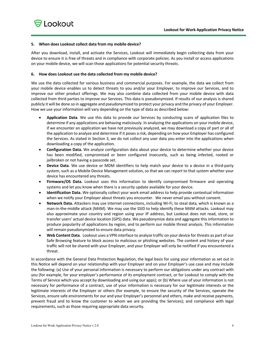# **5. When does Lookout collect data from my mobile device?**

After you download, install, and activate the Services, Lookout will immediately begin collecting data from your device to ensure it is free of threats and in compliance with corporate policies. As you install or access applications on your mobile device, we will scan those applications for potential security threats.

# **6. How does Lookout use the data collected from my mobile device?**

We use the data collected for various business and commercial purposes. For example, the data we collect from your mobile device enables us to detect threats to you and/or your Employer, to improve our Services, and to improve our other product offerings. We may also combine data collected from your mobile device with data collected from third parties to improve our Services. This data is pseudonymized. If results of our analysis is shared publicly it will be done so in aggregate and pseudonymized to protect your privacy and the privacy of your Employer. How we use your information will vary depending on the type of data as described below:

- **Application Data**. We use this data to provide our Services by conducting scans of application files to determine if any applications are behaving maliciously. In analyzing the applications on your mobile device, if we encounter an application we have not previously analyzed, we may download a copy of part or all of the application to analyze and determine if it poses a risk, depending on how your Employer has configured the Services. As stated in Section 3, we do not collect any user data you enter into the applications when downloading a copy of the application.
- **Configuration Data.** We analyze configuration data about your device to determine whether your device has been modified, compromised or been configured insecurely, such as being infected, rooted or jailbroken or not having a passcode set.
- **Device Data**. We use device or MDM identifiers to help match your device to a device in a third-party system, such as a Mobile Device Management solution, so that we can report to that system whether your device has encountered any threats.
- **Firmware/OS Data.** Lookout uses this information to identify compromised firmware and operating systems and let you know when there is a security update available for your device.
- **Identification Data.** We optionally collect your work email address to help provide contextual information when we notify your Employer about threats you encounter. We never email you without consent.
- **Network Data.** Attackers may use internet connections, including Wi-Fi, to steal data, which is known as a man-in-the-middle attack (MitM). We may use the SSID to help identify these MitM attacks. Lookout may also approximate your country and region using your IP address, but Lookout does not read, store, or transfer users' actual device location (GPS) data. We pseudonymize data and aggregate this information to produce popularity of applications by region, and to perform our mobile threat analysis. This information will remain pseudonymized to ensure data privacy.
- **Web Content Data**. Lookout uses a VPN interface to analyze traffic on your device for threats as part of our Safe Browsing feature to block access to malicious or phishing websites. The content and history of your traffic will not be shared with your Employer, and your Employer will only be notified if you encountered a threat.

In accordance with the General Data Protection Regulation, the legal basis for using your information as set out in this Notice will depend on your relationship with your Employer and on your Employer's use case and may include the following: (a) Use of your personal information is necessary to perform our obligations under any contract with you (for example, for your employer's performance of its employment contract, or for Lookout to comply with the Terms of Service which you accept by downloading and using our apps); or (b) Where use of your information is not necessary for performance of a contract, use of your information is necessary for our legitimate interests or the legitimate interests of the Employer or others (for example, to ensure the security of the Services, operate the Services, ensure safe environments for our and your Employer's personnel and others, make and receive payments, prevent fraud and to know the customer to whom we are providing the Services); and compliance with legal requirements, such as those requiring appropriate data security.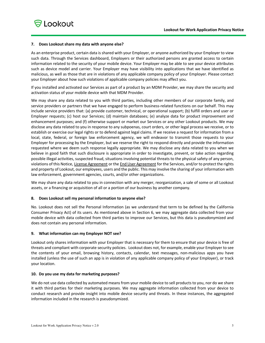# **7. Does Lookout share my data with anyone else?**

As an enterprise product, certain data is shared with your Employer, or anyone authorized by your Employer to view such data. Through the Services dashboard, Employers or their authorized persons are granted access to certain information related to the security of your mobile device. Your Employer may be able to see your device attributes such as device model and carrier. Your Employer may have visibility into applications that we have identified as malicious, as well as those that are in violations of any applicable company policy of your Employer. Please contact your Employer about how such violations of applicable company policies may affect you.

If you installed and activated our Services as part of a product by an MDM Provider, we may share the security and activation status of your mobile device with that MDM Provider.

We may share any data related to you with third parties, including other members of our corporate family, and service providers or partners that we have engaged to perform business-related functions on our behalf. This may include service providers that: (a) provide customer, technical, or operational support; (b) fulfill orders and user or Employer requests; (c) host our Services; (d) maintain databases; (e) analyze data for product improvement and enhancement purposes; and (f) otherwise support or market our Services or any other Lookout products. We may disclose any data related to you in response to any subpoenas, court orders, or other legal process we receive, or to establish or exercise our legal rights or to defend against legal claims. If we receive a request for information from a local, state, federal, or foreign law enforcement agency, we will endeavor to transmit those requests to your Employer for processing by the Employer, but we reserve the right to respond directly and provide the information requested where we deem such response legally appropriate. We may disclose any data related to you when we believe in good faith that such disclosure is appropriate in order to investigate, prevent, or take action regarding possible illegal activities, suspected fraud, situations involving potential threats to the physical safety of any person, violations of this Notice, License Agreement or the End User Agreement for the Services, and/or to protect the rights and property of Lookout, our employees, users and the public. This may involve the sharing of your information with law enforcement, government agencies, courts, and/or other organizations.

We may share any data related to you in connection with any merger, reorganization, a sale of some or all Lookout assets, or a financing or acquisition of all or a portion of our business by another company.

#### **8. Does Lookout sell my personal information to anyone else?**

No. Lookout does not sell the Personal Information (as we understand that term to be defined by the California Consumer Privacy Act) of its users. As mentioned above in Section 6, we may aggregate data collected from your mobile device with data collected from third parties to improve our Services, but this data is pseudonymized and does not contain any personal information.

#### **9. What information can my Employer NOT see?**

Lookout only shares information with your Employer that is necessary for them to ensure that your device is free of threats and compliant with corporate security policies. Lookout does not, for example, enable your Employer to see the contents of your email, browsing history, contacts, calendar, text messages, non-malicious apps you have installed (unless the use of such an app is in violation of any applicable company policy of your Employer), or track your location.

#### **10. Do you use my data for marketing purposes?**

We do not use data collected by automated means from your mobile device to sell products to you, nor do we share it with third parties for their marketing purposes. We may aggregate information collected from your device to conduct research and provide insight into mobile device security and threats. In these instances, the aggregated information included in the research is pseudonymized.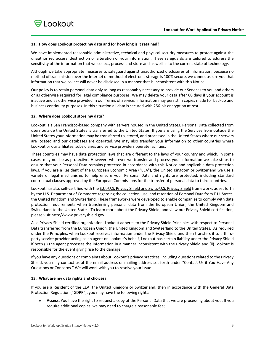# **11. How does Lookout protect my data and for how long is it retained?**

We have implemented reasonable administrative, technical and physical security measures to protect against the unauthorized access, destruction or alteration of your information. These safeguards are tailored to address the sensitivity of the information that we collect, process and store and as well as to the current state of technology.

Although we take appropriate measures to safeguard against unauthorized disclosures of information, because no method of transmission over the Internet or method of electronic storage is 100% secure, we cannot assure you that information that we collect will never be disclosed in a manner that is inconsistent with this Notice.

Our policy is to retain personal data only as long as reasonably necessary to provide our Services to you and others or as otherwise required for legal compliance purposes. We may delete your data after 60 days if your account is inactive and as otherwise provided in our Terms of Service. Information may persist in copies made for backup and business continuity purposes. In this situation all data is secured with 256-bit encryption at rest.

# **12. Where does Lookout store my data?**

Lookout is a San Francisco-based company with servers housed in the United States. Personal Data collected from users outside the United States is transferred to the United States. If you are using the Services from outside the United States your information may be transferred to, stored, and processed in the United States where our servers are located and our databases are operated. We may also transfer your information to other countries where Lookout or our affiliates, subsidiaries and service providers operate facilities.

These countries may have data protection laws that are different to the laws of your country and which, in some cases, may not be as protective. However, wherever we transfer and process your information we take steps to ensure that your Personal Data remains protected in accordance with this Notice and applicable data protection laws. If you are a Resident of the European Economic Area ("EEA"), the United Kingdom or Switzerland we use a variety of legal mechanisms to help ensure your Personal Data and rights are protected, including standard contractual clauses approved by the European Commissions for the transfer of personal data to third countries.

Lookout has also self-certified with the E.U.-U.S. Privacy Shield and Swiss-U.S. Privacy Shield frameworks as set forth by the U.S. Department of Commerce regarding the collection, use, and retention of Personal Data from E.U. States, the United Kingdom and Switzerland. These frameworks were developed to enable companies to comply with data protection requirements when transferring personal data from the European Union, the United Kingdom and Switzerland to the United States. To learn more about the Privacy Shield, and view our Privacy Shield certification, please visit http://www.privacyshield.gov.

As a Privacy Shield certified organization, Lookout adheres to the Privacy Shield Principles with respect to Personal Data transferred from the European Union, the United Kingdom and Switzerland to the United States. As required under the Principles, when Lookout receives information under the Privacy Shield and then transfers it to a thirdparty service provider acting as an agent on Lookout's behalf, Lookout has certain liability under the Privacy Shield if both (i) the agent processes the information in a manner inconsistent with the Privacy Shield and (ii) Lookout is responsible for the event giving rise to the damage.

If you have any questions or complaints about Lookout's privacy practices, including questions related to the Privacy Shield, you may contact us at the email address or mailing address set forth under "Contact Us if You Have Any Questions or Concerns." We will work with you to resolve your issue.

# **13. What are my data rights and choices?**

If you are a Resident of the EEA, the United Kingdom or Switzerland, then in accordance with the General Data Protection Regulation ("GDPR"), you may have the following rights:

• **Access.** You have the right to request a copy of the Personal Data that we are processing about you. If you require additional copies, we may need to charge a reasonable fee;